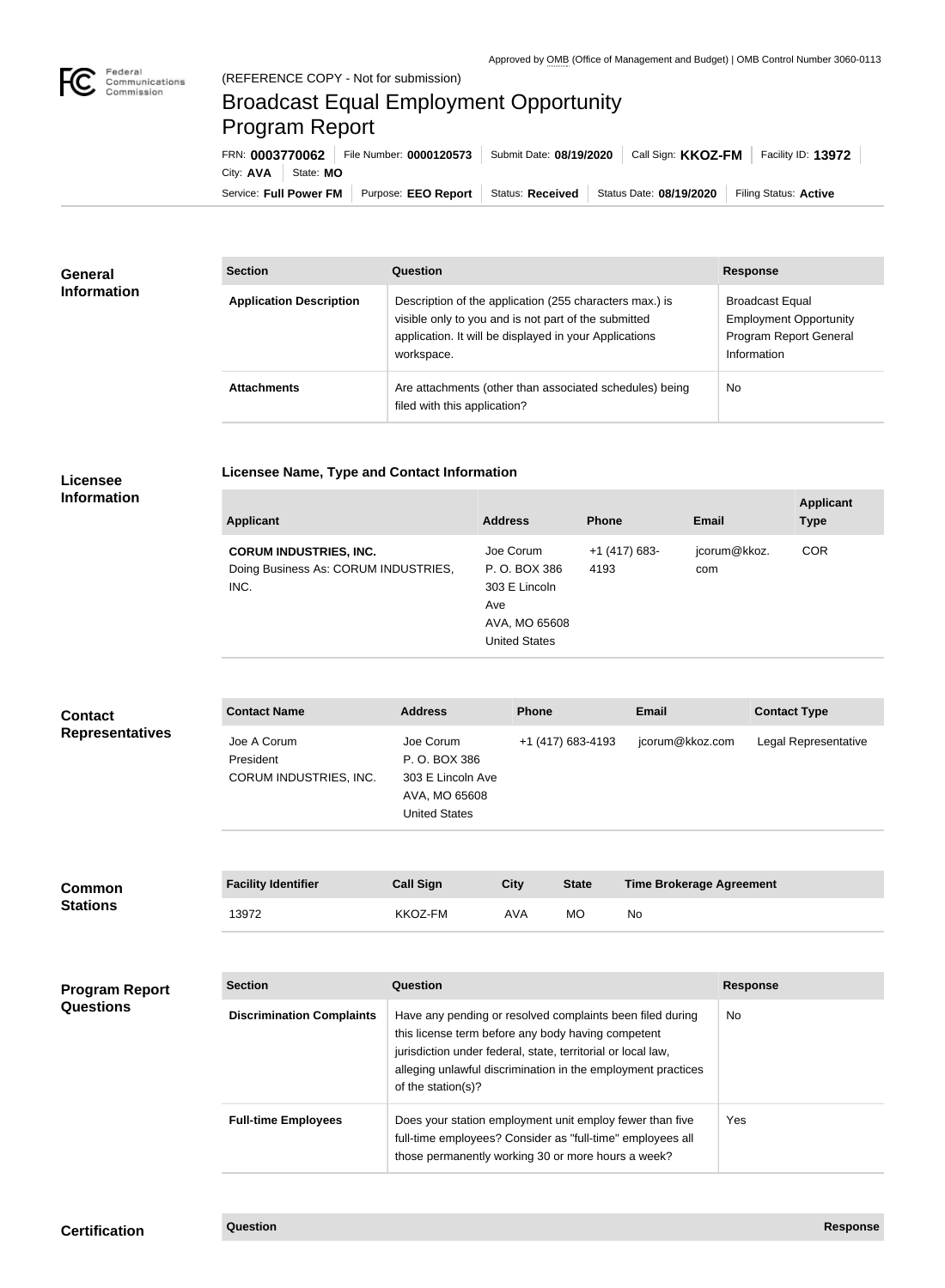

**College** 

## Broadcast Equal Employment Opportunity Program Report

**Licensee Name, Type and Contact Information**

Service: Full Power FM Purpose: EEO Report | Status: Received | Status Date: 08/19/2020 | Filing Status: Active City: **AVA** State: **MO** FRN: **0003770062** File Number: **0000120573** Submit Date: **08/19/2020** Call Sign: **KKOZ-FM** Facility ID: **13972**

| <b>General</b><br><b>Information</b> | <b>Section</b>                 | Question                                                                                                                                                                                | <b>Response</b>                                                                                  |
|--------------------------------------|--------------------------------|-----------------------------------------------------------------------------------------------------------------------------------------------------------------------------------------|--------------------------------------------------------------------------------------------------|
|                                      | <b>Application Description</b> | Description of the application (255 characters max.) is<br>visible only to you and is not part of the submitted<br>application. It will be displayed in your Applications<br>workspace. | <b>Broadcast Equal</b><br><b>Employment Opportunity</b><br>Program Report General<br>Information |
|                                      | <b>Attachments</b>             | Are attachments (other than associated schedules) being<br>filed with this application?                                                                                                 | <b>No</b>                                                                                        |

## **Licensee Information**

| <b>Applicant</b>                                                              | <b>Address</b>                                                                              | <b>Phone</b>            | <b>Email</b>        | <b>Applicant</b><br><b>Type</b> |
|-------------------------------------------------------------------------------|---------------------------------------------------------------------------------------------|-------------------------|---------------------|---------------------------------|
| <b>CORUM INDUSTRIES, INC.</b><br>Doing Business As: CORUM INDUSTRIES,<br>INC. | Joe Corum<br>P. O. BOX 386<br>303 E Lincoln<br>Ave<br>AVA, MO 65608<br><b>United States</b> | $+1$ (417) 683-<br>4193 | jcorum@kkoz.<br>com | <b>COR</b>                      |

| <b>Contact</b><br><b>Representatives</b>  | <b>Contact Name</b>                                | <b>Address</b>                                                                                                                                                                                                                                   | <b>Phone</b> |                   | <b>Email</b>                    | <b>Contact Type</b>  |
|-------------------------------------------|----------------------------------------------------|--------------------------------------------------------------------------------------------------------------------------------------------------------------------------------------------------------------------------------------------------|--------------|-------------------|---------------------------------|----------------------|
|                                           | Joe A Corum<br>President<br>CORUM INDUSTRIES, INC. | Joe Corum<br>P. O. BOX 386<br>303 E Lincoln Ave<br>AVA, MO 65608<br><b>United States</b>                                                                                                                                                         |              | +1 (417) 683-4193 | jcorum@kkoz.com                 | Legal Representative |
|                                           |                                                    |                                                                                                                                                                                                                                                  |              |                   |                                 |                      |
| <b>Common</b><br><b>Stations</b>          | <b>Facility Identifier</b>                         | <b>Call Sign</b>                                                                                                                                                                                                                                 | <b>City</b>  | <b>State</b>      | <b>Time Brokerage Agreement</b> |                      |
|                                           | 13972                                              | KKOZ-FM                                                                                                                                                                                                                                          | <b>AVA</b>   | <b>MO</b>         | No                              |                      |
|                                           |                                                    |                                                                                                                                                                                                                                                  |              |                   |                                 |                      |
| <b>Program Report</b><br><b>Questions</b> | <b>Section</b>                                     | Question                                                                                                                                                                                                                                         |              |                   |                                 | <b>Response</b>      |
|                                           | <b>Discrimination Complaints</b>                   | Have any pending or resolved complaints been filed during<br>this license term before any body having competent<br>jurisdiction under federal, state, territorial or local law,<br>alloging unlowful discrimination in the employment practices. |              |                   |                                 | No                   |